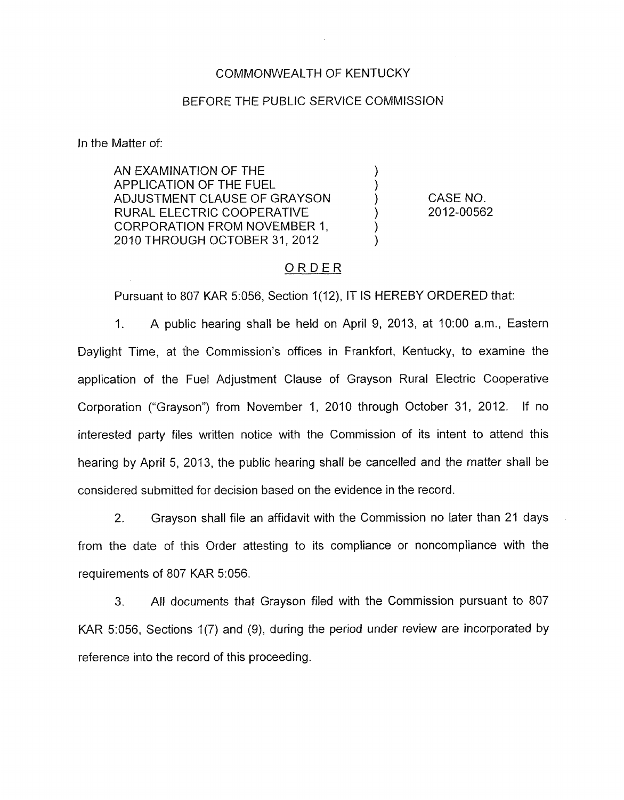## COMMONWEALTH OF KENTUCKY

#### BEFORE THE PUBLIC SERVICE COMMISSION

In the Matter of:

AN EXAMINATION OF THE 1 APPLICATION OF THE FUEL (1)<br>ADJUSTMENT CLAUSE OF GRAYSON (1) ADJUSTMENT CLAUSE OF GRAYSON 1 RURAL ELECTRIC COOPERATIVE CORPORATION FROM NOVEMBER 1, 2010 THROUGH OCTOBER 31,2012 )

CASE NO. 2012-00562

# ORDER

Pursuant to 807 KAR 5:056, Section 1(12), IT IS HEREBY ORDERED that:

1. A public hearing shall be held on April 9, 2013, at 1O:OO a.m., Eastern Daylight Time, at the Commission's offices in Frankfort, Kentucky, to examine the application of the Fuel Adjustment Clause of Grayson Rural Electric Cooperative Corporation ("Grayson") from November 1, 2010 through October 31, 2012. If no interested party files written notice with the Commission of its intent to attend this hearing by April 5, 2013, the public hearing shall be cancelled and the matter shall be considered submitted for decision based on the evidence in the record.

2. Grayson shall file an affidavit with the Commission no later than 21 days from the date of this Order attesting to its compliance or noncompliance with the requirements of 807 KAR 5:056.

**3.** All documents that Grayson filed with the Commission pursuant to 807 KAR 5:056, Sections 1(7) and (9), during the period under review are incorporated by reference into the record of this proceeding.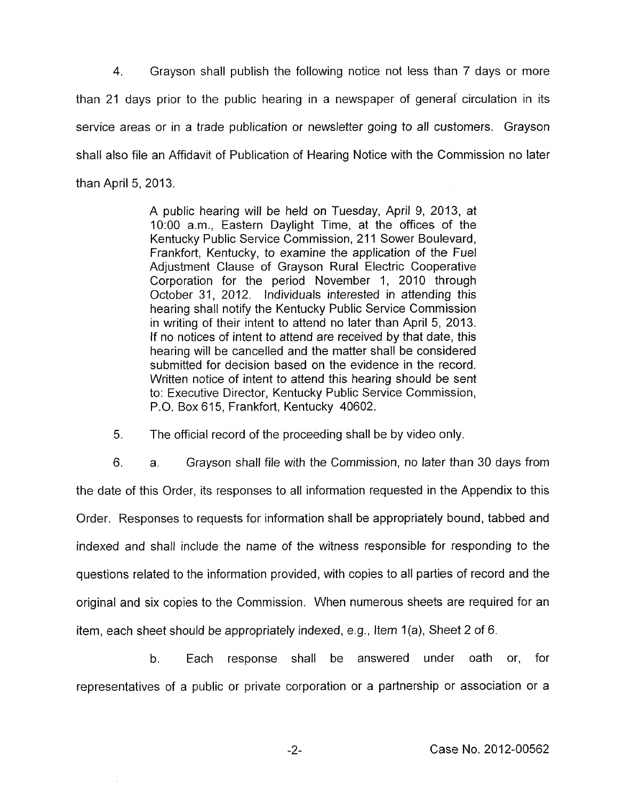4. Grayson shall publish the following notice not less than 7 days or more than 21 days prior to the public hearing in a newspaper of general circulation in its service areas or in a trade publication or newsletter going to all customers. Grayson shall also file an Affidavit of Publication of Hearing Notice with the Commission no later than April 5, 2013.

> A public hearing will be held on Tuesday, April 9, 2013, at 1O:OO a.m., Eastern Daylight Time, at the offices of the Kentucky Public Service Commission, 211 Sower Boulevard, Frankfort, Kentucky, to examine the application of the Fuel Adjustment Clause of Grayson Rural Electric Cooperative Corporation for the period November 1, 2010 through October 31, 2012. Individuals interested in attending this hearing shall notify the Kentucky Public Service Commission in writing of their intent to attend no later than April 5, 2013. If no notices of intent to attend are received by that date, this hearing will be cancelled and the matter shall be considered submitted for decision based on the evidence in the record. Written notice of intent to attend this hearing should be sent to: Executive Director, Kentucky Public Service Commission, P.O. Box 615, Frankfort, Kentucky 40602.

5. The official record of the proceeding shall be by video only.

6. a. Grayson shall file with the Commission, no later than 30 days from the date of this Order, its responses to all information requested in the Appendix to this Order. Responses to requests for information shall be appropriately bound, tabbed and indexed and shall include the name of the witness responsible for responding to the questions related to the information provided, with copies to all parties of record and the original and six copies to the Commission. When numerous sheets are required for an item, each sheet should be appropriately indexed, e.g., Item  $1(a)$ , Sheet 2 of 6.

b. Each response shall be answered under oath or, for representatives of a public or private corporation or a partnership or association or a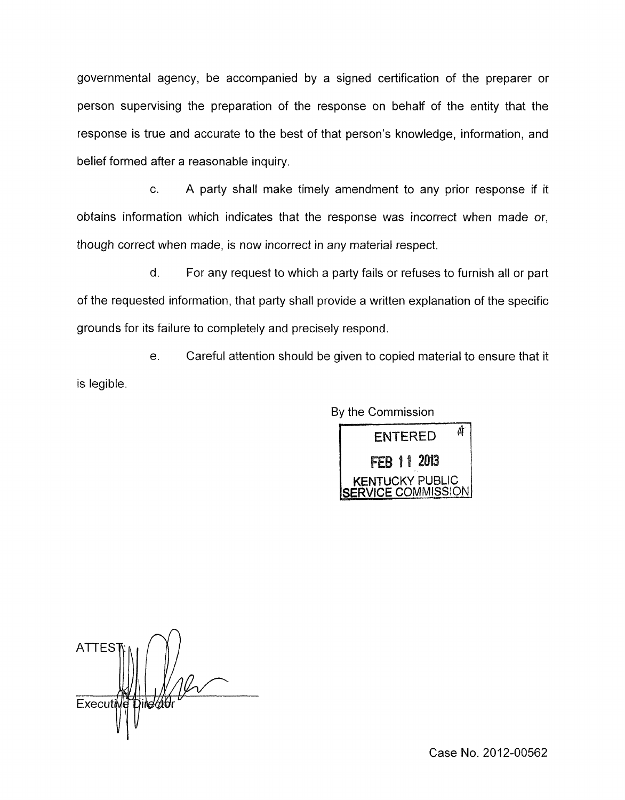governmental agency, be accompanied by a signed certification of the preparer or person supervising the preparation of the response on behalf of the entity that the response is true and accurate to the best of that person's knowledge, information, and belief formed after a reasonable inquiry.

c. A party shall make timely amendment to any prior response if it obtains information which indicates that the response was incorrect when made or, though correct when made, is now incorrect in any material respect.

d. For any request to which a party fails or refuses to furnish all or part of the requested information, that party shall provide a written explanation of the specific grounds for its failure to completely and precisely respond.

e. Careful attention should be given to copied material to ensure that it is legible.

By the Commission

d **ENTERED** FEB 11 2013 **ICKY PUBLIC** 

**ATTES** Executi jind*ét*idi

Case No. 2012-00562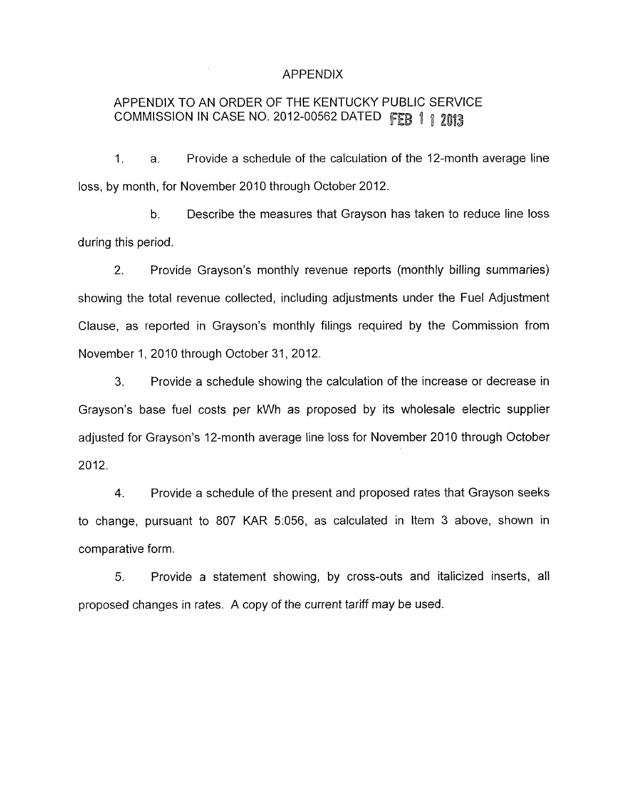## APPENDIX

# APPENDIX TO AN ORDER OF THE KENTUCKY PUBLIC SERVICE COMMISSION IN CASE NO. 2012-00562 DATED FEB 1 1 2013

1. a. Provide a schedule of the calculation of the 12-month average line loss, by month, for November 2010 through October 2012.

b. Describe the measures that Grayson has taken to reduce line loss during this period.

2. Provide Grayson's monthly revenue reports (monthly billing summaries) showing the total revenue collected, including adjustments under the Fuel Adjustment Clause, as reported in Grayson's monthly filings required by the Commission from November 1, 2010 through October 31, 2012.

**3.** Provide a schedule showing the calculation of the increase or decrease in Grayson's base fuel costs per kWh as proposed by its wholesale electric supplier adjusted for Grayson's 12-month average line loss for November 2010 through October 2012.

**4.** Provide a schedule of the present and proposed rates that Grayson seeks to change, pursuant to 807 KAR 5:056, as calculated in Item 3 above, shown in comparative form.

5. Provide a statement showing, by cross-outs and italicized inserts, all proposed changes in rates. A copy of the current tariff may be used.